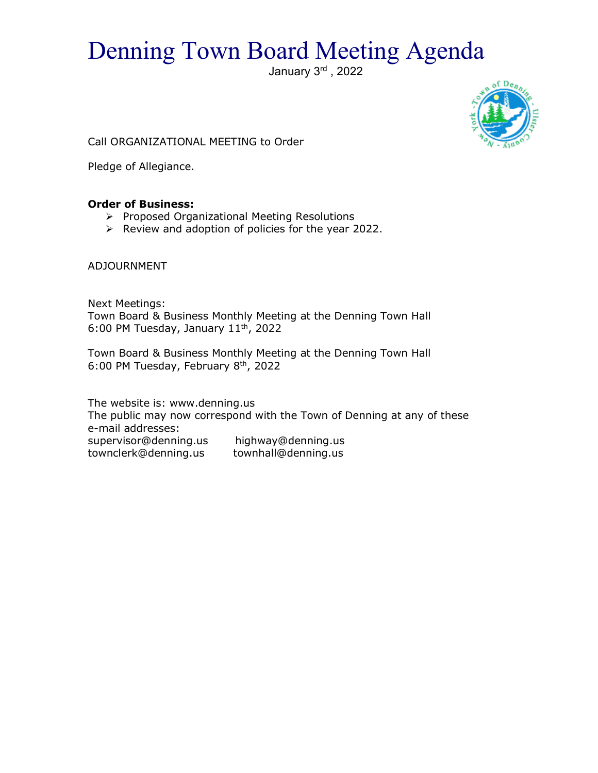# Denning Town Board Meeting Agenda

January 3<sup>rd</sup>, 2022



Call ORGANIZATIONAL MEETING to Order

Pledge of Allegiance.

# **Order of Business:**

- $\triangleright$  Proposed Organizational Meeting Resolutions
- $\triangleright$  Review and adoption of policies for the year 2022.

ADJOURNMENT

Next Meetings: Town Board & Business Monthly Meeting at the Denning Town Hall 6:00 PM Tuesday, January 11th, 2022

Town Board & Business Monthly Meeting at the Denning Town Hall 6:00 PM Tuesday, February 8<sup>th</sup>, 2022

The website is: www.denning.us The public may now correspond with the Town of Denning at any of these e-mail addresses: supervisor@denning.us highway@denning.us townclerk@denning.us townhall@denning.us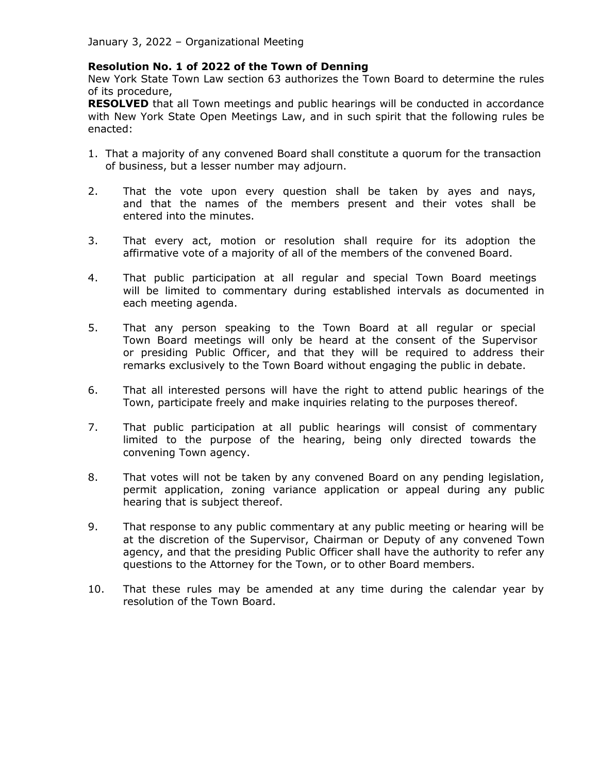## **Resolution No. 1 of 2022 of the Town of Denning**

New York State Town Law section 63 authorizes the Town Board to determine the rules of its procedure,

**RESOLVED** that all Town meetings and public hearings will be conducted in accordance with New York State Open Meetings Law, and in such spirit that the following rules be enacted:

- 1. That a majority of any convened Board shall constitute a quorum for the transaction of business, but a lesser number may adjourn.
- 2. That the vote upon every question shall be taken by ayes and nays, and that the names of the members present and their votes shall be entered into the minutes.
- 3. That every act, motion or resolution shall require for its adoption the affirmative vote of a majority of all of the members of the convened Board.
- 4. That public participation at all regular and special Town Board meetings will be limited to commentary during established intervals as documented in each meeting agenda.
- 5. That any person speaking to the Town Board at all regular or special Town Board meetings will only be heard at the consent of the Supervisor or presiding Public Officer, and that they will be required to address their remarks exclusively to the Town Board without engaging the public in debate.
- 6. That all interested persons will have the right to attend public hearings of the Town, participate freely and make inquiries relating to the purposes thereof.
- 7. That public participation at all public hearings will consist of commentary limited to the purpose of the hearing, being only directed towards the convening Town agency.
- 8. That votes will not be taken by any convened Board on any pending legislation, permit application, zoning variance application or appeal during any public hearing that is subject thereof.
- 9. That response to any public commentary at any public meeting or hearing will be at the discretion of the Supervisor, Chairman or Deputy of any convened Town agency, and that the presiding Public Officer shall have the authority to refer any questions to the Attorney for the Town, or to other Board members.
- 10. That these rules may be amended at any time during the calendar year by resolution of the Town Board.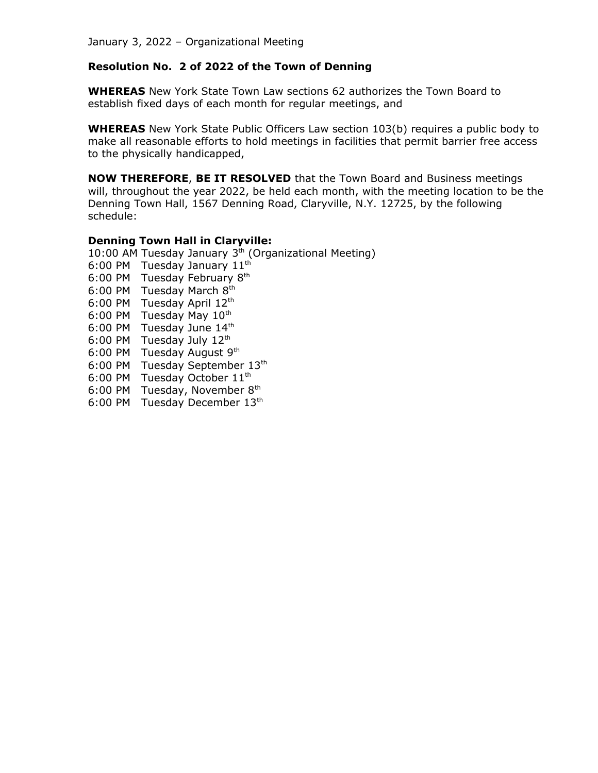# **Resolution No. 2 of 2022 of the Town of Denning**

**WHEREAS** New York State Town Law sections 62 authorizes the Town Board to establish fixed days of each month for regular meetings, and

**WHEREAS** New York State Public Officers Law section 103(b) requires a public body to make all reasonable efforts to hold meetings in facilities that permit barrier free access to the physically handicapped,

**NOW THEREFORE**, **BE IT RESOLVED** that the Town Board and Business meetings will, throughout the year 2022, be held each month, with the meeting location to be the Denning Town Hall, 1567 Denning Road, Claryville, N.Y. 12725, by the following schedule:

## **Denning Town Hall in Claryville:**

10:00 AM Tuesday January  $3<sup>th</sup>$  (Organizational Meeting)

- 6:00 PM Tuesday January 11<sup>th</sup>
- 6:00 PM Tuesday February  $8<sup>th</sup>$
- 6:00 PM Tuesday March 8th
- 6:00 PM Tuesday April 12<sup>th</sup>
- 6:00 PM Tuesday May  $10^{th}$
- 6:00 PM Tuesday June  $14<sup>th</sup>$
- 6:00 PM Tuesday July  $12<sup>th</sup>$
- 6:00 PM Tuesday August 9th
- 6:00 PM Tuesday September 13th
- 6:00 PM Tuesday October  $11<sup>th</sup>$
- 6:00 PM Tuesday, November 8th
- 6:00 PM Tuesday December 13th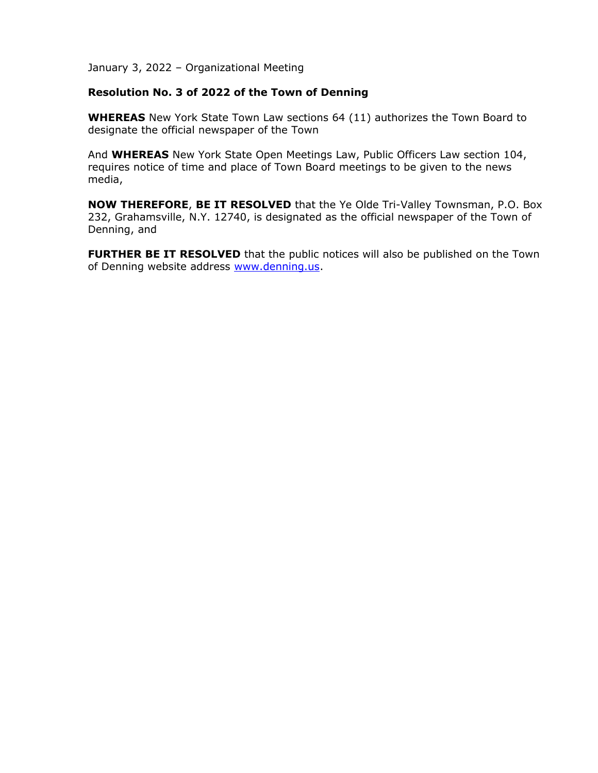## **Resolution No. 3 of 2022 of the Town of Denning**

**WHEREAS** New York State Town Law sections 64 (11) authorizes the Town Board to designate the official newspaper of the Town

And **WHEREAS** New York State Open Meetings Law, Public Officers Law section 104, requires notice of time and place of Town Board meetings to be given to the news media,

**NOW THEREFORE**, **BE IT RESOLVED** that the Ye Olde Tri-Valley Townsman, P.O. Box 232, Grahamsville, N.Y. 12740, is designated as the official newspaper of the Town of Denning, and

**FURTHER BE IT RESOLVED** that the public notices will also be published on the Town of Denning website address [www.denning.us.](http://www.denning.us/)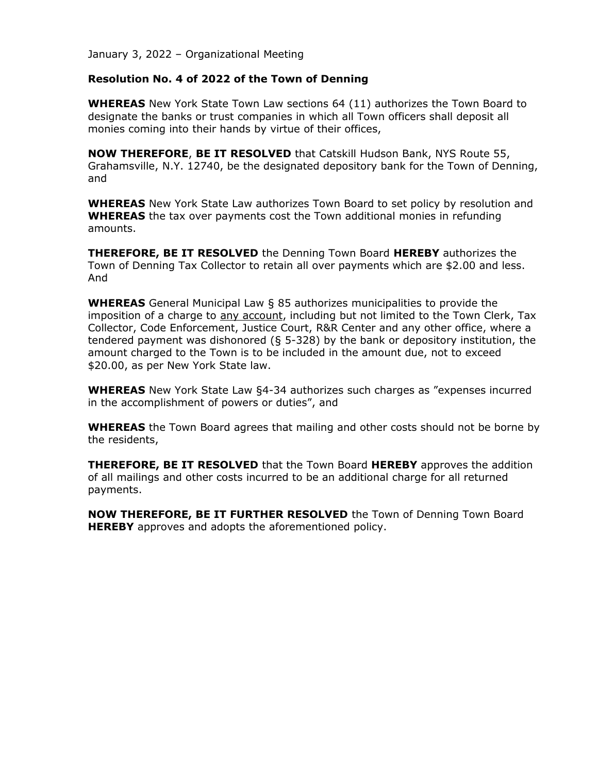## **Resolution No. 4 of 2022 of the Town of Denning**

**WHEREAS** New York State Town Law sections 64 (11) authorizes the Town Board to designate the banks or trust companies in which all Town officers shall deposit all monies coming into their hands by virtue of their offices,

**NOW THEREFORE**, **BE IT RESOLVED** that Catskill Hudson Bank, NYS Route 55, Grahamsville, N.Y. 12740, be the designated depository bank for the Town of Denning, and

**WHEREAS** New York State Law authorizes Town Board to set policy by resolution and **WHEREAS** the tax over payments cost the Town additional monies in refunding amounts.

**THEREFORE, BE IT RESOLVED** the Denning Town Board **HEREBY** authorizes the Town of Denning Tax Collector to retain all over payments which are \$2.00 and less. And

**WHEREAS** General Municipal Law § 85 authorizes municipalities to provide the imposition of a charge to any account, including but not limited to the Town Clerk, Tax Collector, Code Enforcement, Justice Court, R&R Center and any other office, where a tendered payment was dishonored (§ 5-328) by the bank or depository institution, the amount charged to the Town is to be included in the amount due, not to exceed \$20.00, as per New York State law.

**WHEREAS** New York State Law §4-34 authorizes such charges as "expenses incurred in the accomplishment of powers or duties", and

**WHEREAS** the Town Board agrees that mailing and other costs should not be borne by the residents,

**THEREFORE, BE IT RESOLVED** that the Town Board **HEREBY** approves the addition of all mailings and other costs incurred to be an additional charge for all returned payments.

**NOW THEREFORE, BE IT FURTHER RESOLVED** the Town of Denning Town Board **HEREBY** approves and adopts the aforementioned policy.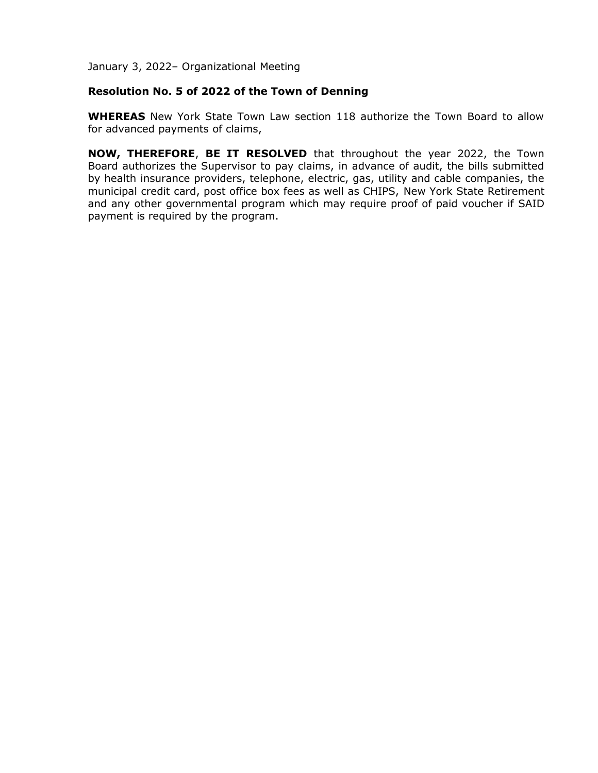## **Resolution No. 5 of 2022 of the Town of Denning**

**WHEREAS** New York State Town Law section 118 authorize the Town Board to allow for advanced payments of claims,

**NOW, THEREFORE**, **BE IT RESOLVED** that throughout the year 2022, the Town Board authorizes the Supervisor to pay claims, in advance of audit, the bills submitted by health insurance providers, telephone, electric, gas, utility and cable companies, the municipal credit card, post office box fees as well as CHIPS, New York State Retirement and any other governmental program which may require proof of paid voucher if SAID payment is required by the program.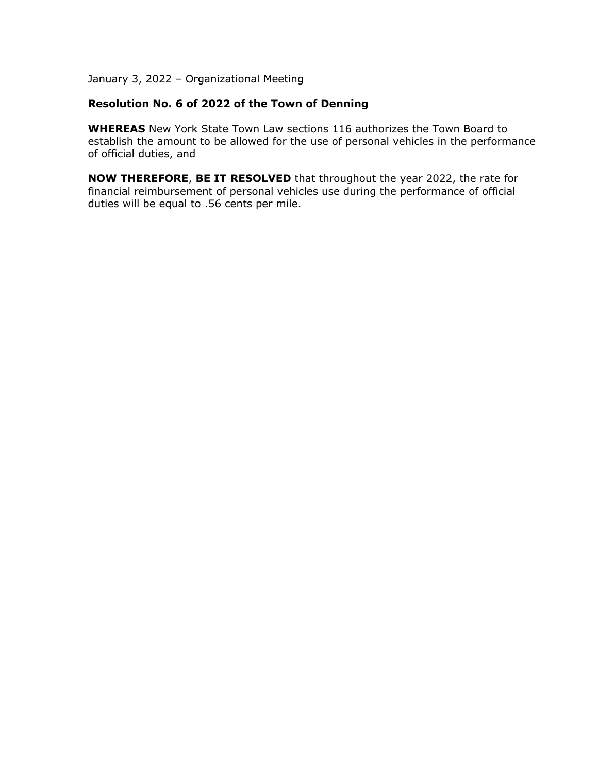## **Resolution No. 6 of 2022 of the Town of Denning**

**WHEREAS** New York State Town Law sections 116 authorizes the Town Board to establish the amount to be allowed for the use of personal vehicles in the performance of official duties, and

**NOW THEREFORE**, **BE IT RESOLVED** that throughout the year 2022, the rate for financial reimbursement of personal vehicles use during the performance of official duties will be equal to .56 cents per mile.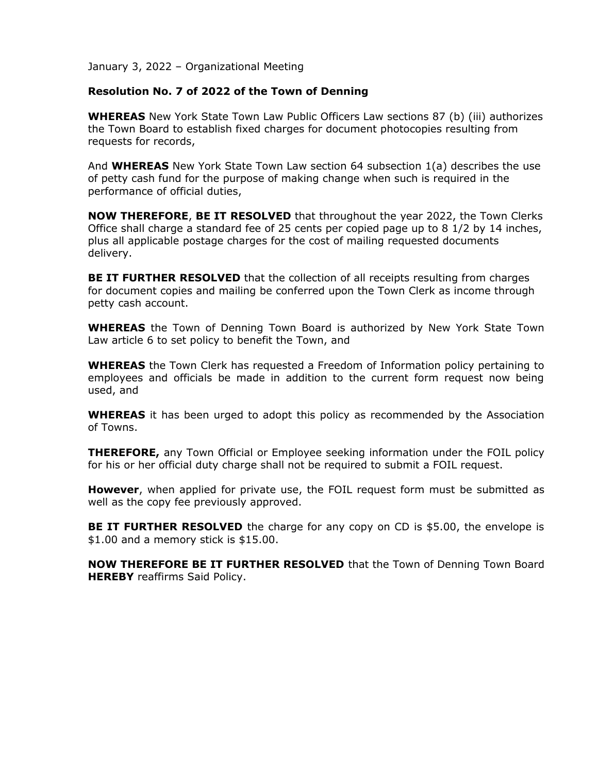## **Resolution No. 7 of 2022 of the Town of Denning**

**WHEREAS** New York State Town Law Public Officers Law sections 87 (b) (iii) authorizes the Town Board to establish fixed charges for document photocopies resulting from requests for records,

And **WHEREAS** New York State Town Law section 64 subsection 1(a) describes the use of petty cash fund for the purpose of making change when such is required in the performance of official duties,

**NOW THEREFORE**, **BE IT RESOLVED** that throughout the year 2022, the Town Clerks Office shall charge a standard fee of 25 cents per copied page up to 8 1/2 by 14 inches, plus all applicable postage charges for the cost of mailing requested documents delivery.

**BE IT FURTHER RESOLVED** that the collection of all receipts resulting from charges for document copies and mailing be conferred upon the Town Clerk as income through petty cash account.

**WHEREAS** the Town of Denning Town Board is authorized by New York State Town Law article 6 to set policy to benefit the Town, and

**WHEREAS** the Town Clerk has requested a Freedom of Information policy pertaining to employees and officials be made in addition to the current form request now being used, and

**WHEREAS** it has been urged to adopt this policy as recommended by the Association of Towns.

**THEREFORE,** any Town Official or Employee seeking information under the FOIL policy for his or her official duty charge shall not be required to submit a FOIL request.

**However**, when applied for private use, the FOIL request form must be submitted as well as the copy fee previously approved.

**BE IT FURTHER RESOLVED** the charge for any copy on CD is \$5.00, the envelope is \$1.00 and a memory stick is \$15.00.

**NOW THEREFORE BE IT FURTHER RESOLVED** that the Town of Denning Town Board **HEREBY** reaffirms Said Policy.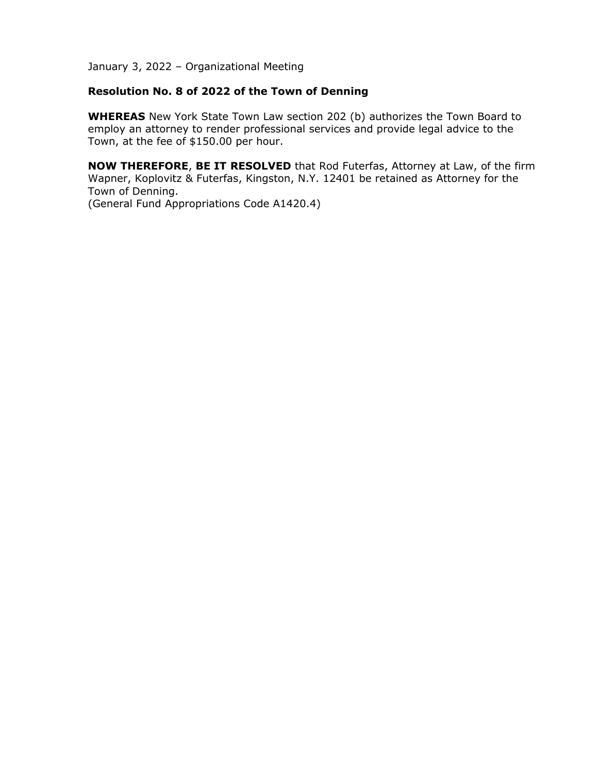## **Resolution No. 8 of 2022 of the Town of Denning**

**WHEREAS** New York State Town Law section 202 (b) authorizes the Town Board to employ an attorney to render professional services and provide legal advice to the Town, at the fee of \$150.00 per hour.

**NOW THEREFORE**, **BE IT RESOLVED** that Rod Futerfas, Attorney at Law, of the firm Wapner, Koplovitz & Futerfas, Kingston, N.Y. 12401 be retained as Attorney for the Town of Denning.

(General Fund Appropriations Code A1420.4)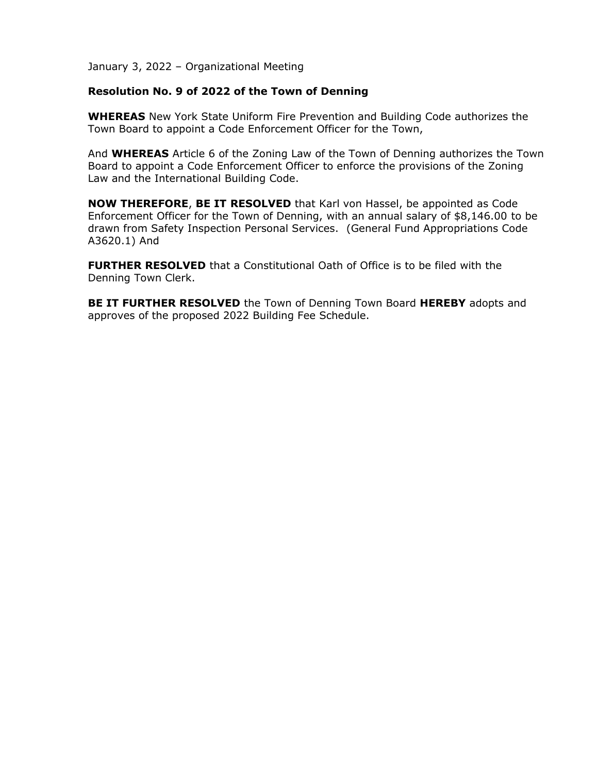## **Resolution No. 9 of 2022 of the Town of Denning**

**WHEREAS** New York State Uniform Fire Prevention and Building Code authorizes the Town Board to appoint a Code Enforcement Officer for the Town,

And **WHEREAS** Article 6 of the Zoning Law of the Town of Denning authorizes the Town Board to appoint a Code Enforcement Officer to enforce the provisions of the Zoning Law and the International Building Code.

**NOW THEREFORE**, **BE IT RESOLVED** that Karl von Hassel, be appointed as Code Enforcement Officer for the Town of Denning, with an annual salary of \$8,146.00 to be drawn from Safety Inspection Personal Services. (General Fund Appropriations Code A3620.1) And

**FURTHER RESOLVED** that a Constitutional Oath of Office is to be filed with the Denning Town Clerk.

**BE IT FURTHER RESOLVED** the Town of Denning Town Board **HEREBY** adopts and approves of the proposed 2022 Building Fee Schedule.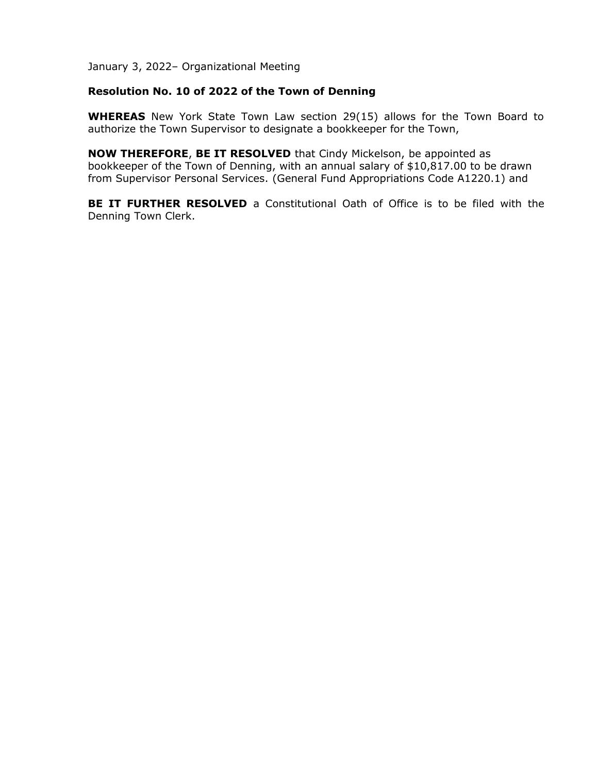## **Resolution No. 10 of 2022 of the Town of Denning**

**WHEREAS** New York State Town Law section 29(15) allows for the Town Board to authorize the Town Supervisor to designate a bookkeeper for the Town,

**NOW THEREFORE**, **BE IT RESOLVED** that Cindy Mickelson, be appointed as bookkeeper of the Town of Denning, with an annual salary of \$10,817.00 to be drawn from Supervisor Personal Services. (General Fund Appropriations Code A1220.1) and

**BE IT FURTHER RESOLVED** a Constitutional Oath of Office is to be filed with the Denning Town Clerk.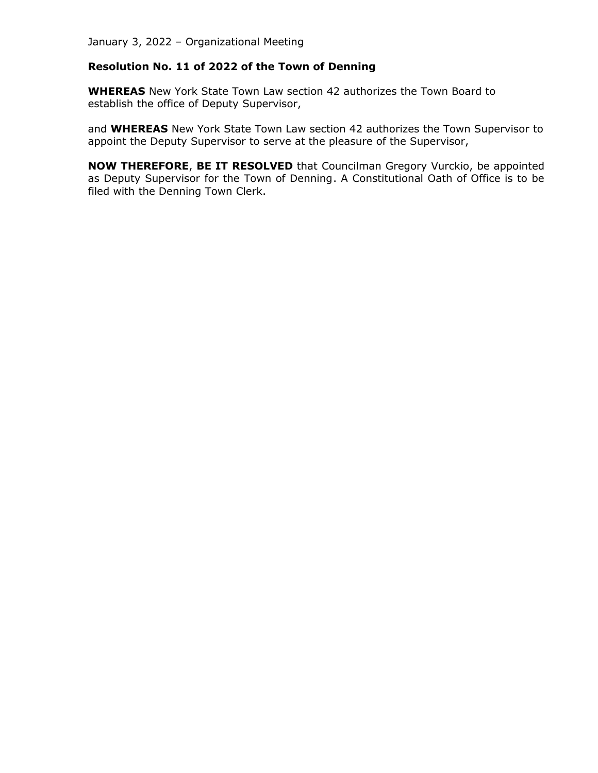# **Resolution No. 11 of 2022 of the Town of Denning**

**WHEREAS** New York State Town Law section 42 authorizes the Town Board to establish the office of Deputy Supervisor,

and **WHEREAS** New York State Town Law section 42 authorizes the Town Supervisor to appoint the Deputy Supervisor to serve at the pleasure of the Supervisor,

**NOW THEREFORE**, **BE IT RESOLVED** that Councilman Gregory Vurckio, be appointed as Deputy Supervisor for the Town of Denning. A Constitutional Oath of Office is to be filed with the Denning Town Clerk.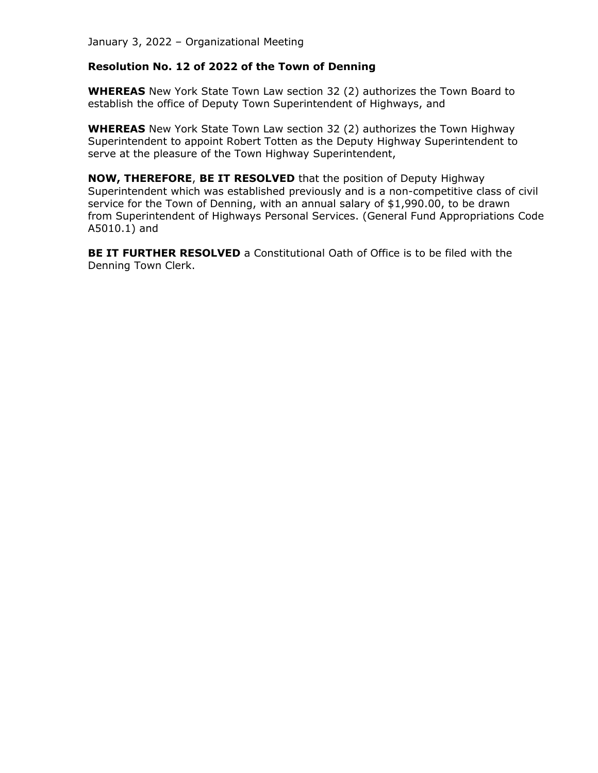## **Resolution No. 12 of 2022 of the Town of Denning**

**WHEREAS** New York State Town Law section 32 (2) authorizes the Town Board to establish the office of Deputy Town Superintendent of Highways, and

**WHEREAS** New York State Town Law section 32 (2) authorizes the Town Highway Superintendent to appoint Robert Totten as the Deputy Highway Superintendent to serve at the pleasure of the Town Highway Superintendent,

**NOW, THEREFORE**, **BE IT RESOLVED** that the position of Deputy Highway Superintendent which was established previously and is a non-competitive class of civil service for the Town of Denning, with an annual salary of \$1,990.00, to be drawn from Superintendent of Highways Personal Services. (General Fund Appropriations Code A5010.1) and

**BE IT FURTHER RESOLVED** a Constitutional Oath of Office is to be filed with the Denning Town Clerk.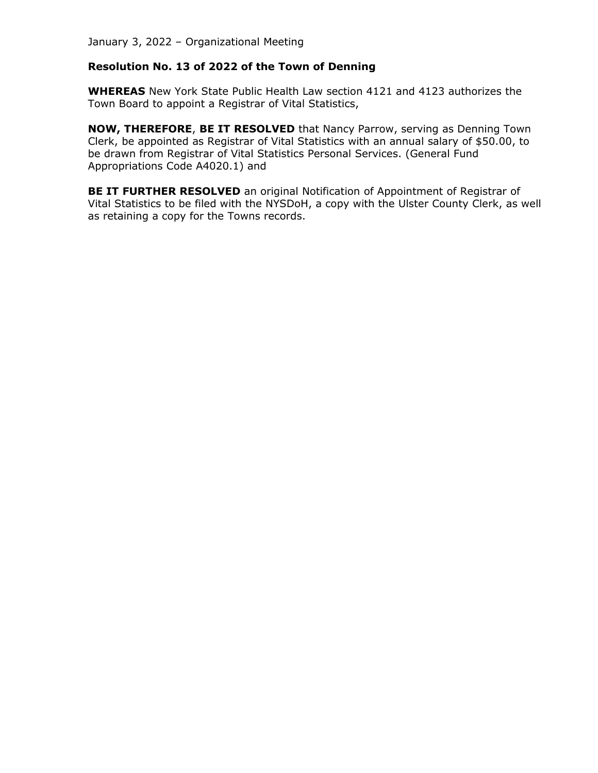# **Resolution No. 13 of 2022 of the Town of Denning**

**WHEREAS** New York State Public Health Law section 4121 and 4123 authorizes the Town Board to appoint a Registrar of Vital Statistics,

**NOW, THEREFORE**, **BE IT RESOLVED** that Nancy Parrow, serving as Denning Town Clerk, be appointed as Registrar of Vital Statistics with an annual salary of \$50.00, to be drawn from Registrar of Vital Statistics Personal Services. (General Fund Appropriations Code A4020.1) and

**BE IT FURTHER RESOLVED** an original Notification of Appointment of Registrar of Vital Statistics to be filed with the NYSDoH, a copy with the Ulster County Clerk, as well as retaining a copy for the Towns records.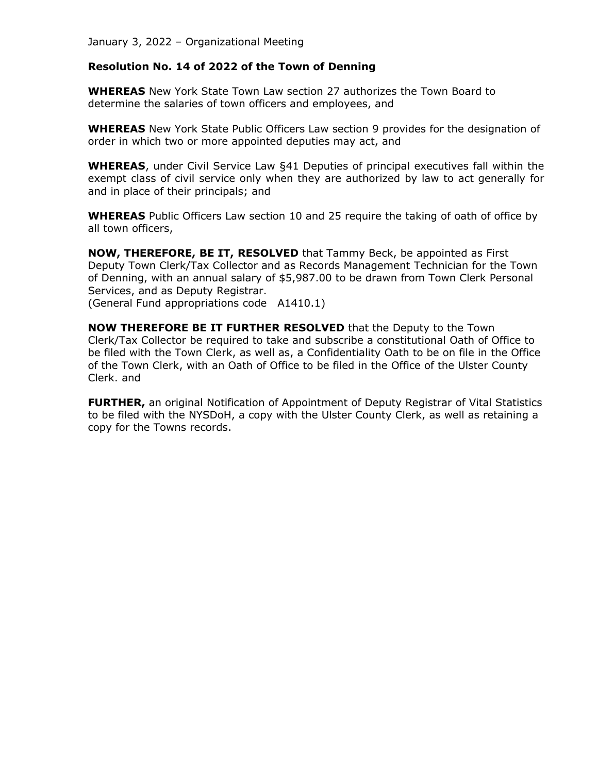## **Resolution No. 14 of 2022 of the Town of Denning**

**WHEREAS** New York State Town Law section 27 authorizes the Town Board to determine the salaries of town officers and employees, and

**WHEREAS** New York State Public Officers Law section 9 provides for the designation of order in which two or more appointed deputies may act, and

**WHEREAS**, under Civil Service Law §41 Deputies of principal executives fall within the exempt class of civil service only when they are authorized by law to act generally for and in place of their principals; and

**WHEREAS** Public Officers Law section 10 and 25 require the taking of oath of office by all town officers,

**NOW, THEREFORE, BE IT, RESOLVED** that Tammy Beck, be appointed as First Deputy Town Clerk/Tax Collector and as Records Management Technician for the Town of Denning, with an annual salary of \$5,987.00 to be drawn from Town Clerk Personal Services, and as Deputy Registrar. (General Fund appropriations code A1410.1)

**NOW THEREFORE BE IT FURTHER RESOLVED** that the Deputy to the Town Clerk/Tax Collector be required to take and subscribe a constitutional Oath of Office to be filed with the Town Clerk, as well as, a Confidentiality Oath to be on file in the Office of the Town Clerk, with an Oath of Office to be filed in the Office of the Ulster County Clerk. and

**FURTHER,** an original Notification of Appointment of Deputy Registrar of Vital Statistics to be filed with the NYSDoH, a copy with the Ulster County Clerk, as well as retaining a copy for the Towns records.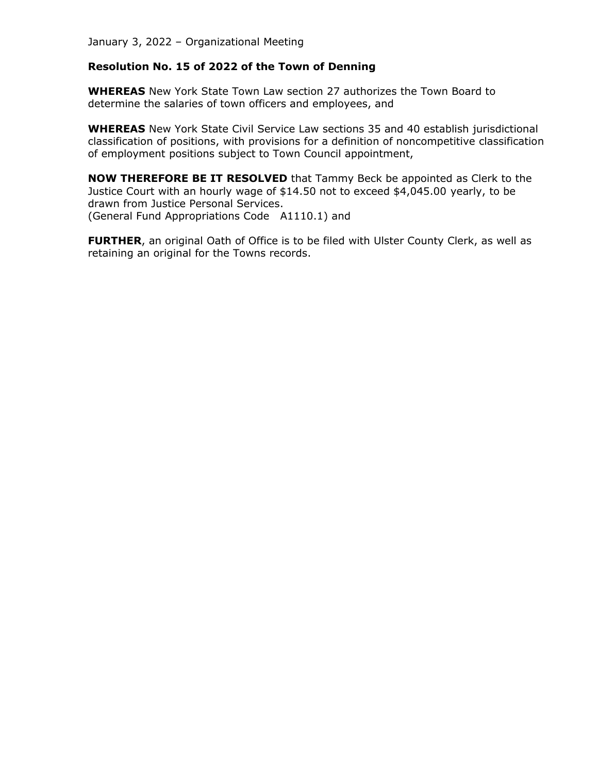## **Resolution No. 15 of 2022 of the Town of Denning**

**WHEREAS** New York State Town Law section 27 authorizes the Town Board to determine the salaries of town officers and employees, and

**WHEREAS** New York State Civil Service Law sections 35 and 40 establish jurisdictional classification of positions, with provisions for a definition of noncompetitive classification of employment positions subject to Town Council appointment,

**NOW THEREFORE BE IT RESOLVED** that Tammy Beck be appointed as Clerk to the Justice Court with an hourly wage of \$14.50 not to exceed \$4,045.00 yearly, to be drawn from Justice Personal Services. (General Fund Appropriations Code A1110.1) and

FURTHER, an original Oath of Office is to be filed with Ulster County Clerk, as well as retaining an original for the Towns records.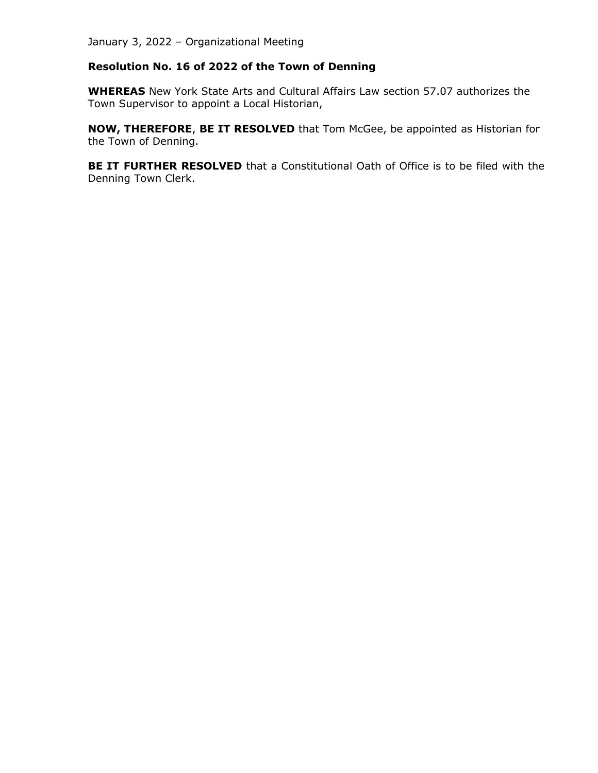# **Resolution No. 16 of 2022 of the Town of Denning**

**WHEREAS** New York State Arts and Cultural Affairs Law section 57.07 authorizes the Town Supervisor to appoint a Local Historian,

**NOW, THEREFORE**, **BE IT RESOLVED** that Tom McGee, be appointed as Historian for the Town of Denning.

**BE IT FURTHER RESOLVED** that a Constitutional Oath of Office is to be filed with the Denning Town Clerk.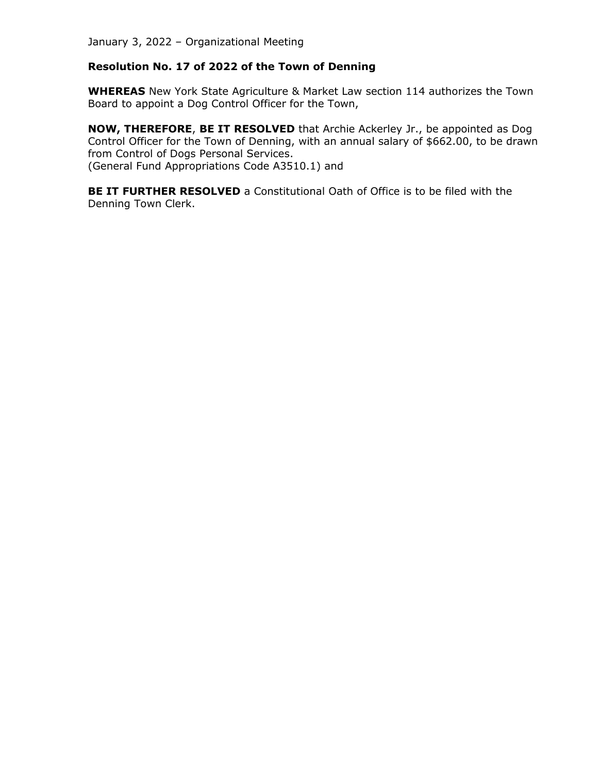## **Resolution No. 17 of 2022 of the Town of Denning**

**WHEREAS** New York State Agriculture & Market Law section 114 authorizes the Town Board to appoint a Dog Control Officer for the Town,

**NOW, THEREFORE**, **BE IT RESOLVED** that Archie Ackerley Jr., be appointed as Dog Control Officer for the Town of Denning, with an annual salary of \$662.00, to be drawn from Control of Dogs Personal Services. (General Fund Appropriations Code A3510.1) and

**BE IT FURTHER RESOLVED** a Constitutional Oath of Office is to be filed with the Denning Town Clerk.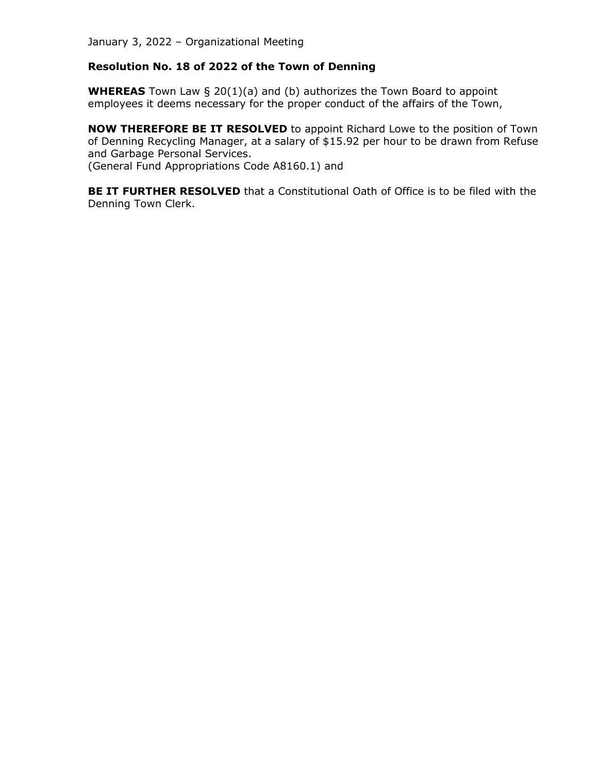# **Resolution No. 18 of 2022 of the Town of Denning**

**WHEREAS** Town Law § 20(1)(a) and (b) authorizes the Town Board to appoint employees it deems necessary for the proper conduct of the affairs of the Town,

**NOW THEREFORE BE IT RESOLVED** to appoint Richard Lowe to the position of Town of Denning Recycling Manager, at a salary of \$15.92 per hour to be drawn from Refuse and Garbage Personal Services. (General Fund Appropriations Code A8160.1) and

**BE IT FURTHER RESOLVED** that a Constitutional Oath of Office is to be filed with the Denning Town Clerk.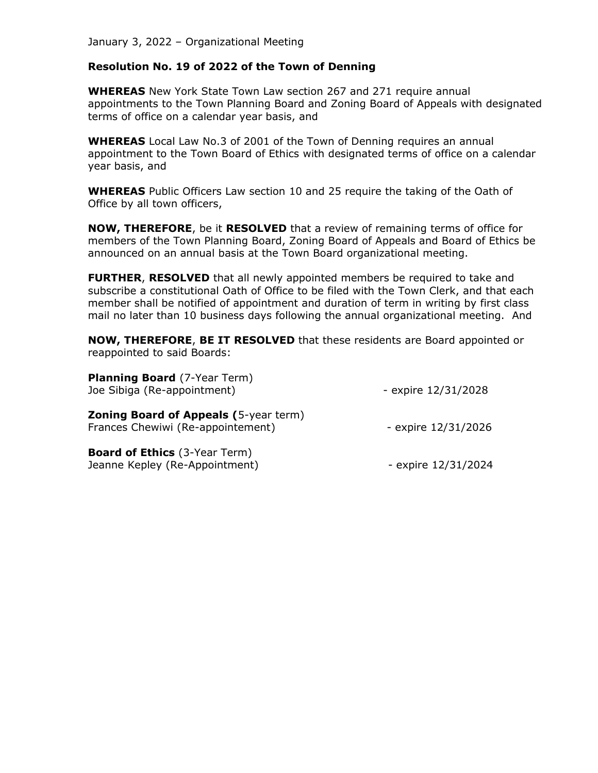#### **Resolution No. 19 of 2022 of the Town of Denning**

**WHEREAS** New York State Town Law section 267 and 271 require annual appointments to the Town Planning Board and Zoning Board of Appeals with designated terms of office on a calendar year basis, and

**WHEREAS** Local Law No.3 of 2001 of the Town of Denning requires an annual appointment to the Town Board of Ethics with designated terms of office on a calendar year basis, and

**WHEREAS** Public Officers Law section 10 and 25 require the taking of the Oath of Office by all town officers,

**NOW, THEREFORE**, be it **RESOLVED** that a review of remaining terms of office for members of the Town Planning Board, Zoning Board of Appeals and Board of Ethics be announced on an annual basis at the Town Board organizational meeting.

**FURTHER**, **RESOLVED** that all newly appointed members be required to take and subscribe a constitutional Oath of Office to be filed with the Town Clerk, and that each member shall be notified of appointment and duration of term in writing by first class mail no later than 10 business days following the annual organizational meeting. And

**NOW, THEREFORE**, **BE IT RESOLVED** that these residents are Board appointed or reappointed to said Boards:

| <b>Planning Board</b> (7-Year Term)<br>Joe Sibiga (Re-appointment)                | - expire 12/31/2028 |
|-----------------------------------------------------------------------------------|---------------------|
| <b>Zoning Board of Appeals (5-year term)</b><br>Frances Chewiwi (Re-appointement) | - expire 12/31/2026 |
| <b>Board of Ethics</b> (3-Year Term)<br>Jeanne Kepley (Re-Appointment)            | - expire 12/31/2024 |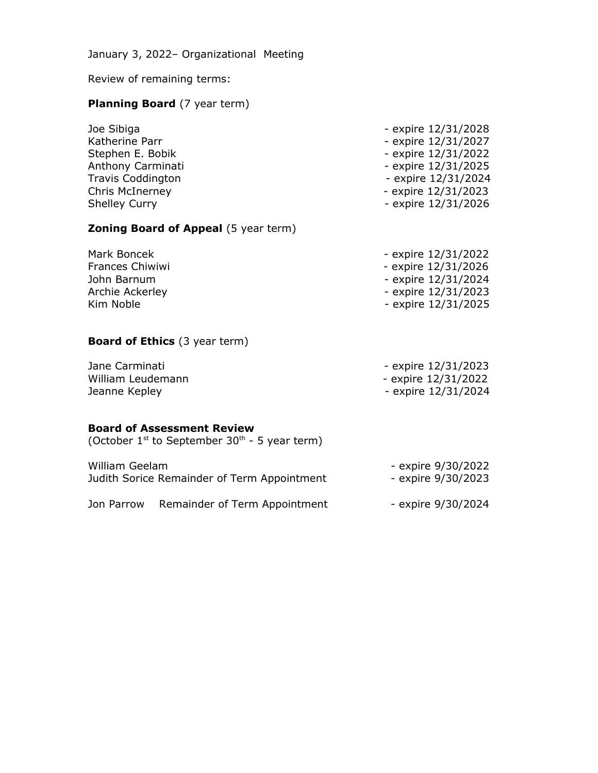Review of remaining terms:

# **Planning Board** (7 year term)

| Joe Sibiga           | - expire 12/31/2028 |
|----------------------|---------------------|
| Katherine Parr       | - expire 12/31/2027 |
| Stephen E. Bobik     | - expire 12/31/2022 |
| Anthony Carminati    | - expire 12/31/2025 |
| Travis Coddington    | - expire 12/31/2024 |
| Chris McInerney      | - expire 12/31/2023 |
| <b>Shelley Curry</b> | - expire 12/31/2026 |
|                      |                     |

# **Zoning Board of Appeal** (5 year term)

| Mark Boncek     | - expire 12/31/2022 |
|-----------------|---------------------|
| Frances Chiwiwi | - expire 12/31/2026 |
| John Barnum     | - expire 12/31/2024 |
| Archie Ackerley | - expire 12/31/2023 |
| Kim Noble       | - expire 12/31/2025 |

# **Board of Ethics** (3 year term)

| Jane Carminati    | - expire 12/31/2023 |
|-------------------|---------------------|
| William Leudemann | - expire 12/31/2022 |
| Jeanne Kepley     | - expire 12/31/2024 |

## **Board of Assessment Review**

(October  $1^{st}$  to September 30<sup>th</sup> - 5 year term)

| William Geelam<br>Judith Sorice Remainder of Term Appointment |                               | - expire 9/30/2022<br>- expire 9/30/2023 |  |
|---------------------------------------------------------------|-------------------------------|------------------------------------------|--|
| Jon Parrow                                                    | Remainder of Term Appointment | - expire 9/30/2024                       |  |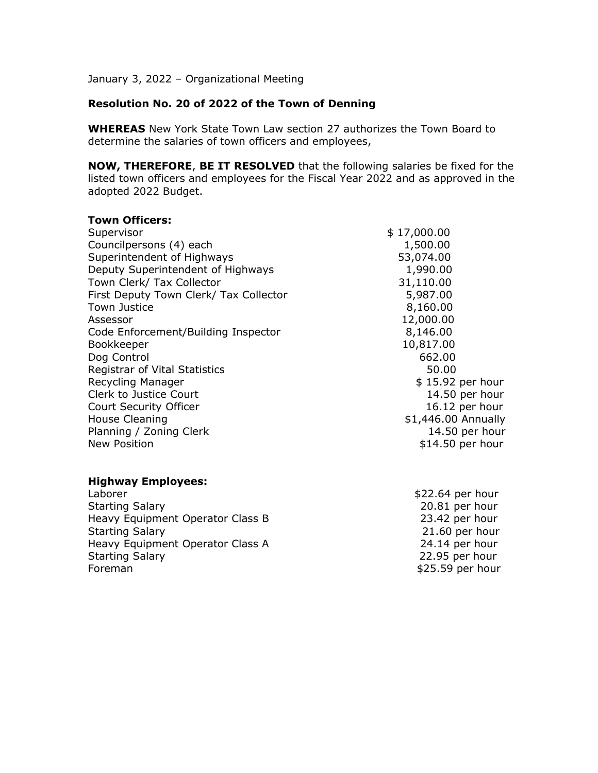## **Resolution No. 20 of 2022 of the Town of Denning**

**WHEREAS** New York State Town Law section 27 authorizes the Town Board to determine the salaries of town officers and employees,

**NOW, THEREFORE**, **BE IT RESOLVED** that the following salaries be fixed for the listed town officers and employees for the Fiscal Year 2022 and as approved in the adopted 2022 Budget.

| <b>Town Officers:</b>                  |                     |
|----------------------------------------|---------------------|
| Supervisor                             | \$17,000.00         |
| Councilpersons (4) each                | 1,500.00            |
| Superintendent of Highways             | 53,074.00           |
| Deputy Superintendent of Highways      | 1,990.00            |
| Town Clerk/ Tax Collector              | 31,110.00           |
| First Deputy Town Clerk/ Tax Collector | 5,987.00            |
| <b>Town Justice</b>                    | 8,160.00            |
| Assessor                               | 12,000.00           |
| Code Enforcement/Building Inspector    | 8,146.00            |
| Bookkeeper                             | 10,817.00           |
| Dog Control                            | 662.00              |
| Registrar of Vital Statistics          | 50.00               |
| Recycling Manager                      | \$15.92 per hour    |
| Clerk to Justice Court                 | 14.50 per hour      |
| Court Security Officer                 | 16.12 per hour      |
| <b>House Cleaning</b>                  | \$1,446.00 Annually |
| Planning / Zoning Clerk                | 14.50 per hour      |
| <b>New Position</b>                    | \$14.50 per hour    |
| <b>Highway Employees:</b>              |                     |
| Laborer                                | \$22.64 per hour    |
| <b>Starting Salary</b>                 | 20.81 per hour      |
| Heavy Equipment Operator Class B       | 23.42 per hour      |
| <b>Starting Salary</b>                 | 21.60 per hour      |
| Heavy Equipment Operator Class A       | 24.14 per hour      |
| <b>Starting Salary</b>                 | 22.95 per hour      |

Foreman \$25.59 per hour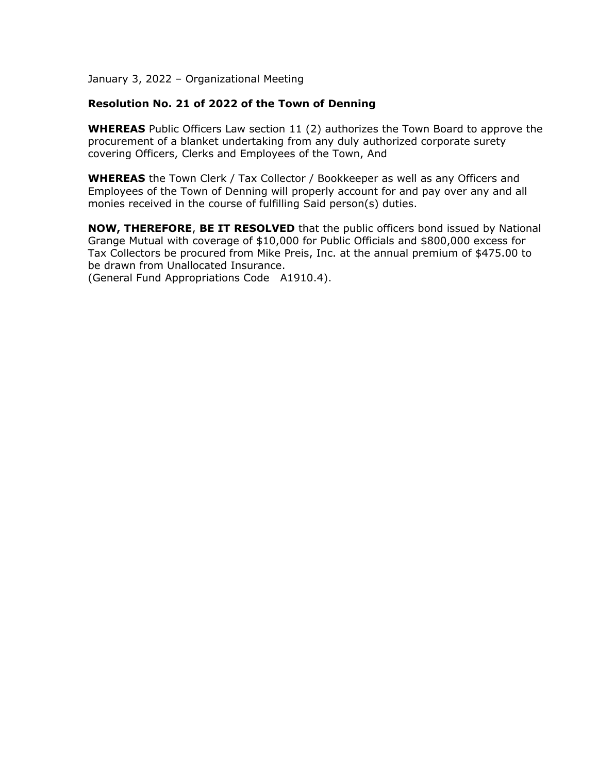## **Resolution No. 21 of 2022 of the Town of Denning**

**WHEREAS** Public Officers Law section 11 (2) authorizes the Town Board to approve the procurement of a blanket undertaking from any duly authorized corporate surety covering Officers, Clerks and Employees of the Town, And

**WHEREAS** the Town Clerk / Tax Collector / Bookkeeper as well as any Officers and Employees of the Town of Denning will properly account for and pay over any and all monies received in the course of fulfilling Said person(s) duties.

**NOW, THEREFORE**, **BE IT RESOLVED** that the public officers bond issued by National Grange Mutual with coverage of \$10,000 for Public Officials and \$800,000 excess for Tax Collectors be procured from Mike Preis, Inc. at the annual premium of \$475.00 to be drawn from Unallocated Insurance.

(General Fund Appropriations Code A1910.4).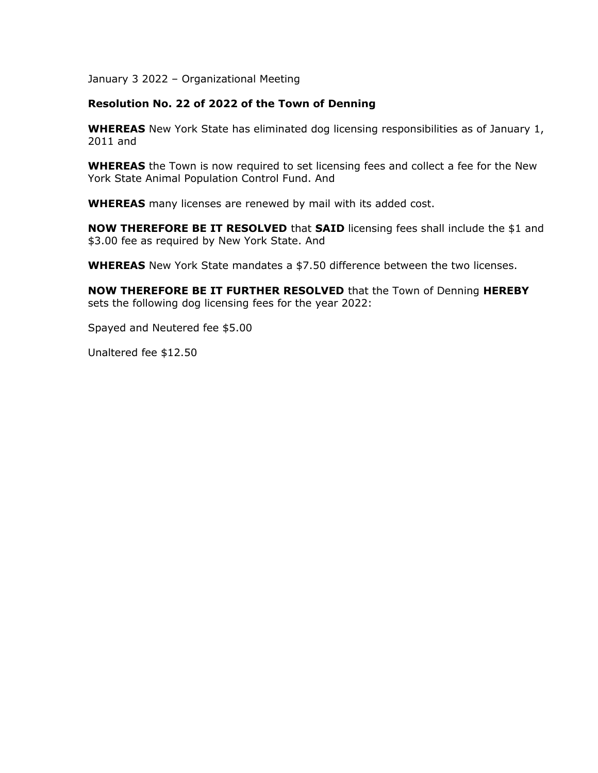#### **Resolution No. 22 of 2022 of the Town of Denning**

**WHEREAS** New York State has eliminated dog licensing responsibilities as of January 1, 2011 and

**WHEREAS** the Town is now required to set licensing fees and collect a fee for the New York State Animal Population Control Fund. And

**WHEREAS** many licenses are renewed by mail with its added cost.

**NOW THEREFORE BE IT RESOLVED** that **SAID** licensing fees shall include the \$1 and \$3.00 fee as required by New York State. And

**WHEREAS** New York State mandates a \$7.50 difference between the two licenses.

**NOW THEREFORE BE IT FURTHER RESOLVED** that the Town of Denning **HEREBY** sets the following dog licensing fees for the year 2022:

Spayed and Neutered fee \$5.00

Unaltered fee \$12.50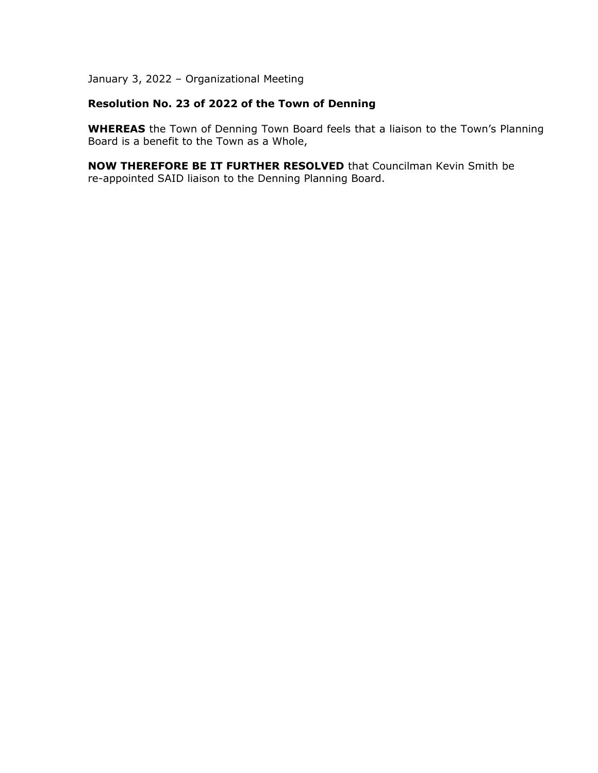# **Resolution No. 23 of 2022 of the Town of Denning**

**WHEREAS** the Town of Denning Town Board feels that a liaison to the Town's Planning Board is a benefit to the Town as a Whole,

**NOW THEREFORE BE IT FURTHER RESOLVED** that Councilman Kevin Smith be re-appointed SAID liaison to the Denning Planning Board.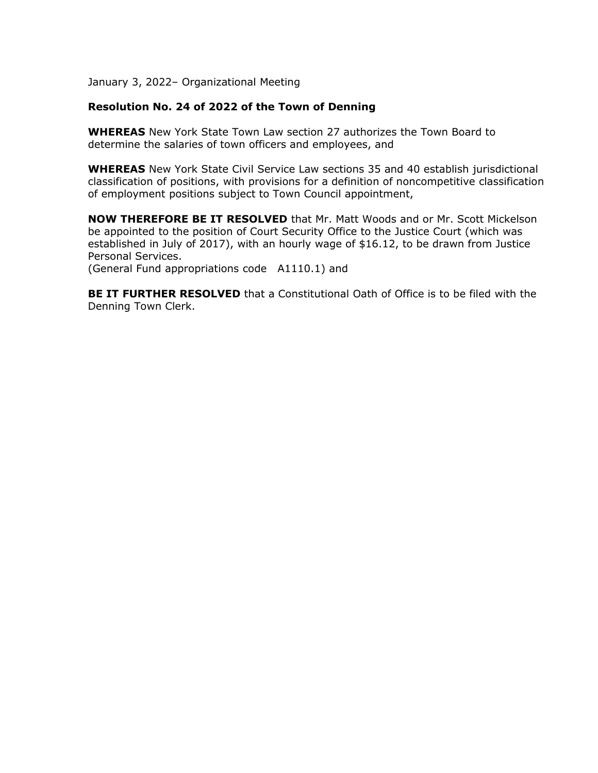## **Resolution No. 24 of 2022 of the Town of Denning**

**WHEREAS** New York State Town Law section 27 authorizes the Town Board to determine the salaries of town officers and employees, and

**WHEREAS** New York State Civil Service Law sections 35 and 40 establish jurisdictional classification of positions, with provisions for a definition of noncompetitive classification of employment positions subject to Town Council appointment,

**NOW THEREFORE BE IT RESOLVED** that Mr. Matt Woods and or Mr. Scott Mickelson be appointed to the position of Court Security Office to the Justice Court (which was established in July of 2017), with an hourly wage of \$16.12, to be drawn from Justice Personal Services.

(General Fund appropriations code A1110.1) and

**BE IT FURTHER RESOLVED** that a Constitutional Oath of Office is to be filed with the Denning Town Clerk.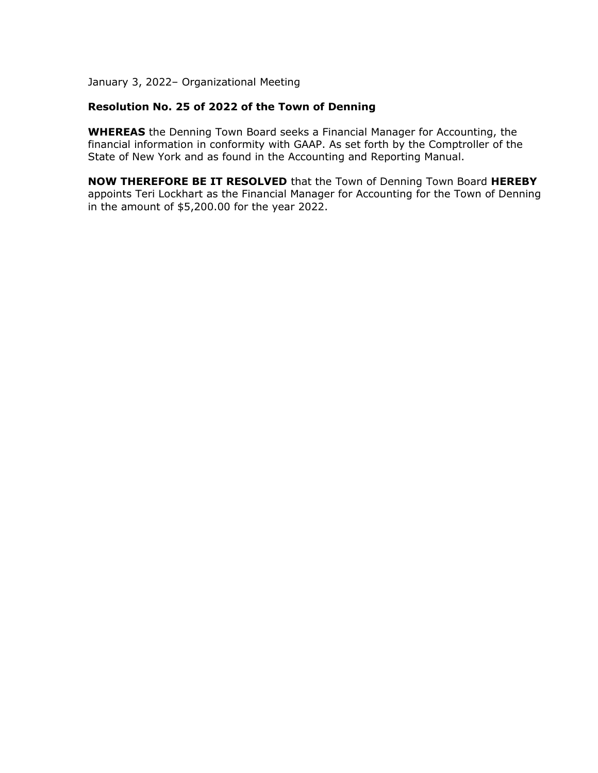## **Resolution No. 25 of 2022 of the Town of Denning**

**WHEREAS** the Denning Town Board seeks a Financial Manager for Accounting, the financial information in conformity with GAAP. As set forth by the Comptroller of the State of New York and as found in the Accounting and Reporting Manual.

**NOW THEREFORE BE IT RESOLVED** that the Town of Denning Town Board **HEREBY** appoints Teri Lockhart as the Financial Manager for Accounting for the Town of Denning in the amount of \$5,200.00 for the year 2022.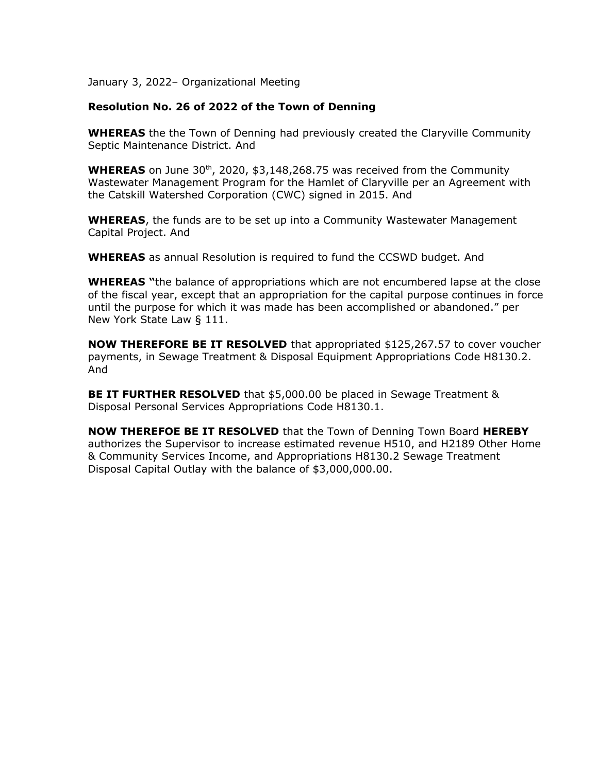## **Resolution No. 26 of 2022 of the Town of Denning**

**WHEREAS** the the Town of Denning had previously created the Claryville Community Septic Maintenance District. And

**WHEREAS** on June 30<sup>th</sup>, 2020, \$3,148,268.75 was received from the Community Wastewater Management Program for the Hamlet of Claryville per an Agreement with the Catskill Watershed Corporation (CWC) signed in 2015. And

**WHEREAS**, the funds are to be set up into a Community Wastewater Management Capital Project. And

**WHEREAS** as annual Resolution is required to fund the CCSWD budget. And

**WHEREAS "**the balance of appropriations which are not encumbered lapse at the close of the fiscal year, except that an appropriation for the capital purpose continues in force until the purpose for which it was made has been accomplished or abandoned." per New York State Law § 111.

**NOW THEREFORE BE IT RESOLVED** that appropriated \$125,267.57 to cover voucher payments, in Sewage Treatment & Disposal Equipment Appropriations Code H8130.2. And

**BE IT FURTHER RESOLVED** that \$5,000.00 be placed in Sewage Treatment & Disposal Personal Services Appropriations Code H8130.1.

**NOW THEREFOE BE IT RESOLVED** that the Town of Denning Town Board **HEREBY** authorizes the Supervisor to increase estimated revenue H510, and H2189 Other Home & Community Services Income, and Appropriations H8130.2 Sewage Treatment Disposal Capital Outlay with the balance of \$3,000,000.00.